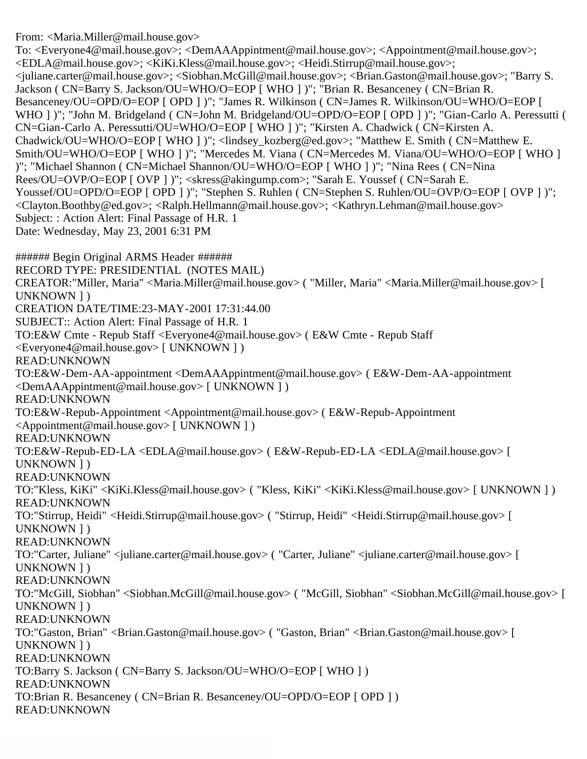From: <Maria.Miller@mail.house.gov>

To: <Everyone4@mail.house.gov>; <DemAAAppintment@mail.house.gov>; <Appointment@mail.house.gov>; <EDLA@mail.house.gov>; <KiKi.Kless@mail.house.gov>; <Heidi.Stirrup@mail.house.gov>; <juliane.carter@mail.house.gov>; <Siobhan.McGill@mail.house.gov>; <Brian.Gaston@mail.house.gov>; "Barry S. Jackson ( CN=Barry S. Jackson/OU=WHO/O=EOP [ WHO ] )"; "Brian R. Besanceney ( CN=Brian R. Besanceney/OU=OPD/O=EOP [ OPD ] )"; "James R. Wilkinson ( CN=James R. Wilkinson/OU=WHO/O=EOP [ WHO ] )"; "John M. Bridgeland ( CN=John M. Bridgeland/OU=OPD/O=EOP [ OPD ] )"; "Gian-Carlo A. Peressutti ( CN=Gian-Carlo A. Peressutti/OU=WHO/O=EOP [ WHO ] )"; "Kirsten A. Chadwick ( CN=Kirsten A. Chadwick/OU=WHO/O=EOP [ WHO ] )"; <lindsey\_kozberg@ed.gov>; "Matthew E. Smith ( CN=Matthew E. Smith/OU=WHO/O=EOP [ WHO ] )"; "Mercedes M. Viana ( CN=Mercedes M. Viana/OU=WHO/O=EOP [ WHO ] )"; "Michael Shannon ( CN=Michael Shannon/OU=WHO/O=EOP [ WHO ] )"; "Nina Rees ( CN=Nina Rees/OU=OVP/O=EOP [ OVP ] )"; <skress@akingump.com>; "Sarah E. Youssef ( CN=Sarah E. Youssef/OU=OPD/O=EOP [ OPD ] )"; "Stephen S. Ruhlen ( CN=Stephen S. Ruhlen/OU=OVP/O=EOP [ OVP ] )"; <Clayton.Boothby@ed.gov>; <Ralph.Hellmann@mail.house.gov>; <Kathryn.Lehman@mail.house.gov> Subject: : Action Alert: Final Passage of H.R. 1 Date: Wednesday, May 23, 2001 6:31 PM

###### Begin Original ARMS Header ###### RECORD TYPE: PRESIDENTIAL (NOTES MAIL) CREATOR:"Miller, Maria" <Maria.Miller@mail.house.gov> ( "Miller, Maria" <Maria.Miller@mail.house.gov> [ UNKNOWN ] ) CREATION DATE/TIME:23-MAY-2001 17:31:44.00 SUBJECT:: Action Alert: Final Passage of H.R. 1 TO:E&W Cmte - Repub Staff <Everyone4@mail.house.gov> ( E&W Cmte - Repub Staff <Everyone4@mail.house.gov> [ UNKNOWN ] ) READ:UNKNOWN TO:E&W-Dem-AA-appointment <DemAAAppintment@mail.house.gov> ( E&W-Dem-AA-appointment <DemAAAppintment@mail.house.gov> [ UNKNOWN ] ) READ:UNKNOWN TO:E&W-Repub-Appointment <Appointment@mail.house.gov> ( E&W-Repub-Appointment <Appointment@mail.house.gov> [ UNKNOWN ] ) READ:UNKNOWN TO:E&W-Repub-ED-LA <EDLA@mail.house.gov> ( E&W-Repub-ED-LA <EDLA@mail.house.gov> [ UNKNOWN ] ) READ:UNKNOWN TO:"Kless, KiKi" <KiKi.Kless@mail.house.gov> ( "Kless, KiKi" <KiKi.Kless@mail.house.gov> [ UNKNOWN ] ) READ:UNKNOWN TO:"Stirrup, Heidi" <Heidi.Stirrup@mail.house.gov> ( "Stirrup, Heidi" <Heidi.Stirrup@mail.house.gov> [ UNKNOWN ] ) READ:UNKNOWN TO:"Carter, Juliane" <juliane.carter@mail.house.gov> ( "Carter, Juliane" <juliane.carter@mail.house.gov> [ UNKNOWN ] ) READ:UNKNOWN TO:"McGill, Siobhan" <Siobhan.McGill@mail.house.gov> ( "McGill, Siobhan" <Siobhan.McGill@mail.house.gov> [ UNKNOWN ] ) READ:UNKNOWN TO:"Gaston, Brian" <Brian.Gaston@mail.house.gov> ( "Gaston, Brian" <Brian.Gaston@mail.house.gov> [ UNKNOWN ] ) READ:UNKNOWN TO:Barry S. Jackson ( CN=Barry S. Jackson/OU=WHO/O=EOP [ WHO ] ) READ:UNKNOWN TO:Brian R. Besanceney ( CN=Brian R. Besanceney/OU=OPD/O=EOP [ OPD ] ) READ:UNKNOWN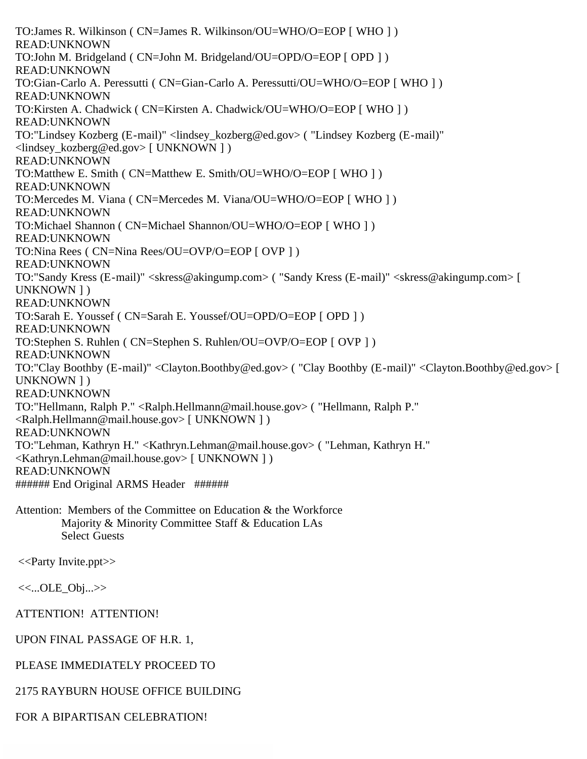TO:James R. Wilkinson ( CN=James R. Wilkinson/OU=WHO/O=EOP [ WHO ] ) READ:UNKNOWN TO:John M. Bridgeland ( CN=John M. Bridgeland/OU=OPD/O=EOP [ OPD ] ) READ:UNKNOWN TO:Gian-Carlo A. Peressutti ( CN=Gian-Carlo A. Peressutti/OU=WHO/O=EOP [ WHO ] ) READ:UNKNOWN TO:Kirsten A. Chadwick ( CN=Kirsten A. Chadwick/OU=WHO/O=EOP [ WHO ] ) READ:UNKNOWN TO:"Lindsey Kozberg (E-mail)" <lindsey\_kozberg@ed.gov> ( "Lindsey Kozberg (E-mail)" <lindsey\_kozberg@ed.gov> [ UNKNOWN ] ) READ:UNKNOWN TO:Matthew E. Smith ( CN=Matthew E. Smith/OU=WHO/O=EOP [ WHO ] ) READ:UNKNOWN TO:Mercedes M. Viana ( CN=Mercedes M. Viana/OU=WHO/O=EOP [ WHO ] ) READ:UNKNOWN TO:Michael Shannon ( CN=Michael Shannon/OU=WHO/O=EOP [ WHO ] ) READ:UNKNOWN TO:Nina Rees ( CN=Nina Rees/OU=OVP/O=EOP [ OVP ] ) READ:UNKNOWN TO:"Sandy Kress (E-mail)" <skress@akingump.com> ( "Sandy Kress (E-mail)" <skress@akingump.com> [ UNKNOWN ] ) READ:UNKNOWN TO:Sarah E. Youssef ( CN=Sarah E. Youssef/OU=OPD/O=EOP [ OPD ] ) READ:UNKNOWN TO:Stephen S. Ruhlen ( CN=Stephen S. Ruhlen/OU=OVP/O=EOP [ OVP ] ) READ:UNKNOWN TO:"Clay Boothby (E-mail)" <Clayton.Boothby@ed.gov> ( "Clay Boothby (E-mail)" <Clayton.Boothby@ed.gov> [ UNKNOWN ] ) READ:UNKNOWN TO:"Hellmann, Ralph P." <Ralph.Hellmann@mail.house.gov> ( "Hellmann, Ralph P." <Ralph.Hellmann@mail.house.gov> [ UNKNOWN ] ) READ:UNKNOWN TO:"Lehman, Kathryn H." <Kathryn.Lehman@mail.house.gov> ( "Lehman, Kathryn H." <Kathryn.Lehman@mail.house.gov> [ UNKNOWN ] ) READ:UNKNOWN ###### End Original ARMS Header ###### Attention: Members of the Committee on Education & the Workforce Majority & Minority Committee Staff & Education LAs

<<Party Invite.ppt>>

<<...OLE\_Obj...>>

ATTENTION! ATTENTION!

Select Guests

UPON FINAL PASSAGE OF H.R. 1,

PLEASE IMMEDIATELY PROCEED TO

2175 RAYBURN HOUSE OFFICE BUILDING

FOR A BIPARTISAN CELEBRATION!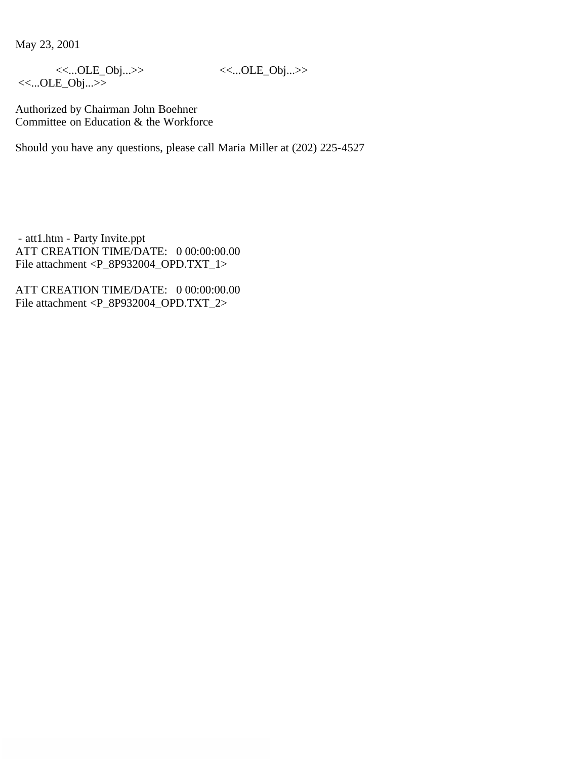May 23, 2001

<<...OLE\_Obj...>> <<...OLE\_Obj...>>

<<...OLE\_Obj...>>

Authorized by Chairman John Boehner Committee on Education & the Workforce

Should you have any questions, please call Maria Miller at (202) 225-4527

 - att1.htm - Party Invite.ppt ATT CREATION TIME/DATE: 0 00:00:00.00 File attachment <P\_8P932004\_OPD.TXT\_1>

ATT CREATION TIME/DATE: 0 00:00:00.00 File attachment <P\_8P932004\_OPD.TXT\_2>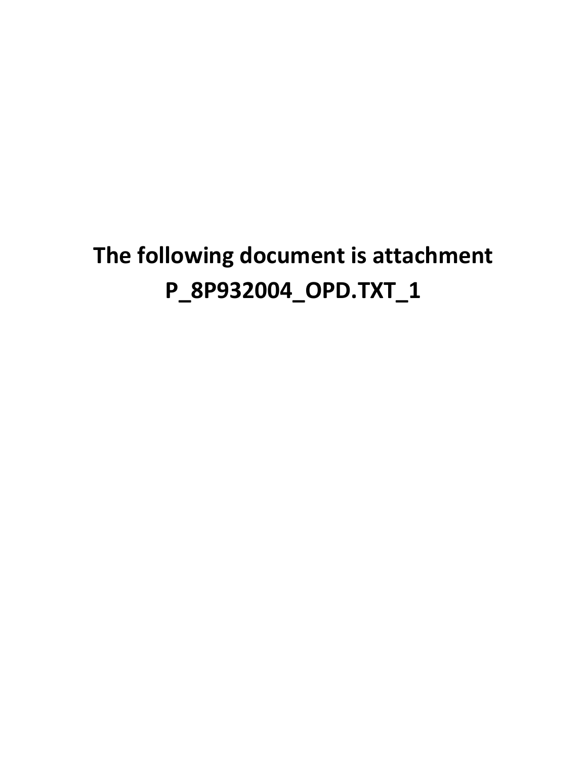### **The following document is attachment P\_8P932004\_OPD.TXT\_1**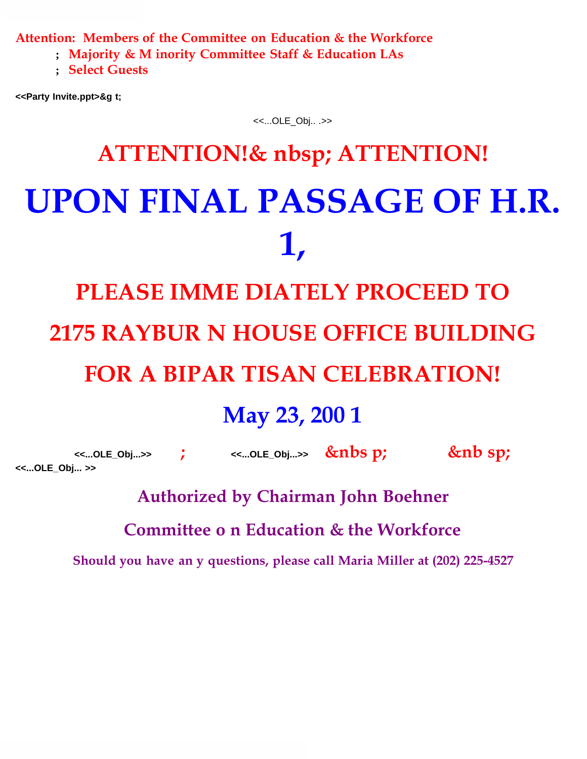**Attention: Members of the Committee on Education & the Workforce**

 **; Majority & M inority Committee Staff & Education LAs**

 **; Select Guests**

**<<Party Invite.ppt>&g t;**

<<...OLE\_Obj.. .>>

# **ATTENTION!& nbsp; ATTENTION! UPON FINAL PASSAGE OF H.R. 1,**

# **PLEASE IMME DIATELY PROCEED TO 2175 RAYBUR N HOUSE OFFICE BUILDING FOR A BIPAR TISAN CELEBRATION!**

#### **May 23, 200 1**

 **<<...OLE\_Obj...>> ; <<...OLE\_Obj...>> &nbs p; &nb sp; <<...OLE\_Obj... >>**

**Authorized by Chairman John Boehner**

**Committee o n Education & the Workforce**

**Should you have an y questions, please call Maria Miller at (202) 225-4527**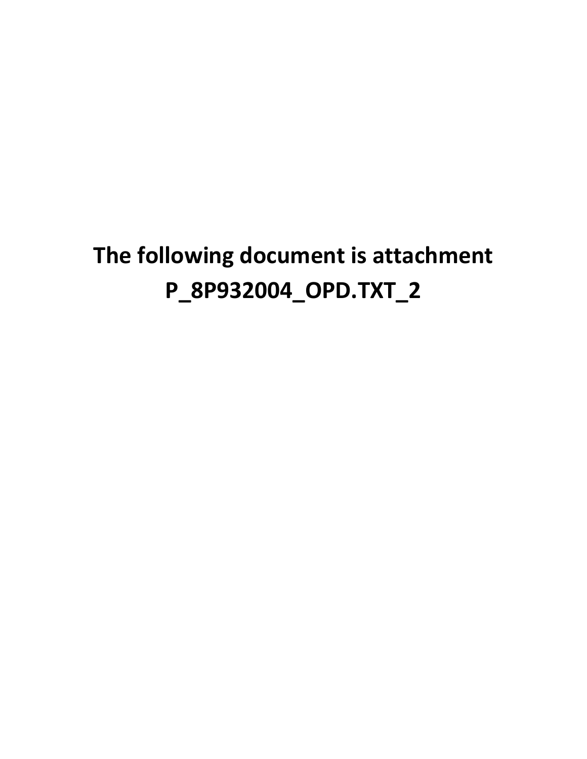### **The following document is attachment P\_8P932004\_OPD.TXT\_2**